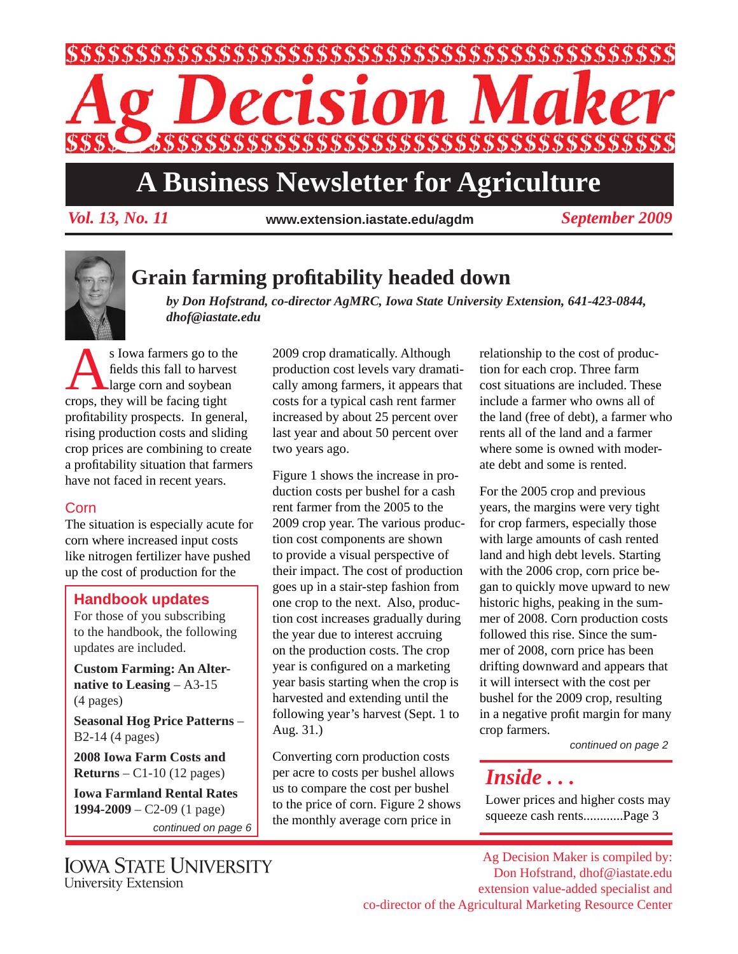

# **A Business Newsletter for Agriculture**

*Vol. 13, No. 11 September 2009* **www.extension.iastate.edu/agdm**



### **Grain farming profi tability headed down**

*by Don Hofstrand, co-director AgMRC, Iowa State University Extension, 641-423-0844, dhof@iastate.edu*

S Iowa farmers go to the<br>
fields this fall to harvest<br>
large corn and soybean fields this fall to harvest crops, they will be facing tight profitability prospects. In general, rising production costs and sliding crop prices are combining to create a profitability situation that farmers have not faced in recent years.

#### Corn

The situation is especially acute for corn where increased input costs like nitrogen fertilizer have pushed up the cost of production for the

#### **Handbook updates**

For those of you subscribing to the handbook, the following updates are included.

**Custom Farming: An Alternative to Leasing** – A3-15 (4 pages)

**Seasonal Hog Price Patterns** – B2-14 (4 pages)

**2008 Iowa Farm Costs and Returns** – C1-10 (12 pages)

**Iowa Farmland Rental Rates 1994-2009** – C2-09 (1 page)

*continued on page 6*

2009 crop dramatically. Although production cost levels vary dramatically among farmers, it appears that costs for a typical cash rent farmer increased by about 25 percent over last year and about 50 percent over two years ago.

Figure 1 shows the increase in production costs per bushel for a cash rent farmer from the 2005 to the 2009 crop year. The various production cost components are shown to provide a visual perspective of their impact. The cost of production goes up in a stair-step fashion from one crop to the next. Also, production cost increases gradually during the year due to interest accruing on the production costs. The crop year is configured on a marketing year basis starting when the crop is harvested and extending until the following year's harvest (Sept. 1 to Aug. 31.)

Converting corn production costs per acre to costs per bushel allows us to compare the cost per bushel to the price of corn. Figure 2 shows the monthly average corn price in

relationship to the cost of production for each crop. Three farm cost situations are included. These include a farmer who owns all of the land (free of debt), a farmer who rents all of the land and a farmer where some is owned with moderate debt and some is rented.

For the 2005 crop and previous years, the margins were very tight for crop farmers, especially those with large amounts of cash rented land and high debt levels. Starting with the 2006 crop, corn price began to quickly move upward to new historic highs, peaking in the summer of 2008. Corn production costs followed this rise. Since the summer of 2008, corn price has been drifting downward and appears that it will intersect with the cost per bushel for the 2009 crop, resulting in a negative profit margin for many crop farmers.

*continued on page 2*

## *Inside . . .*

Lower prices and higher costs may squeeze cash rents............Page 3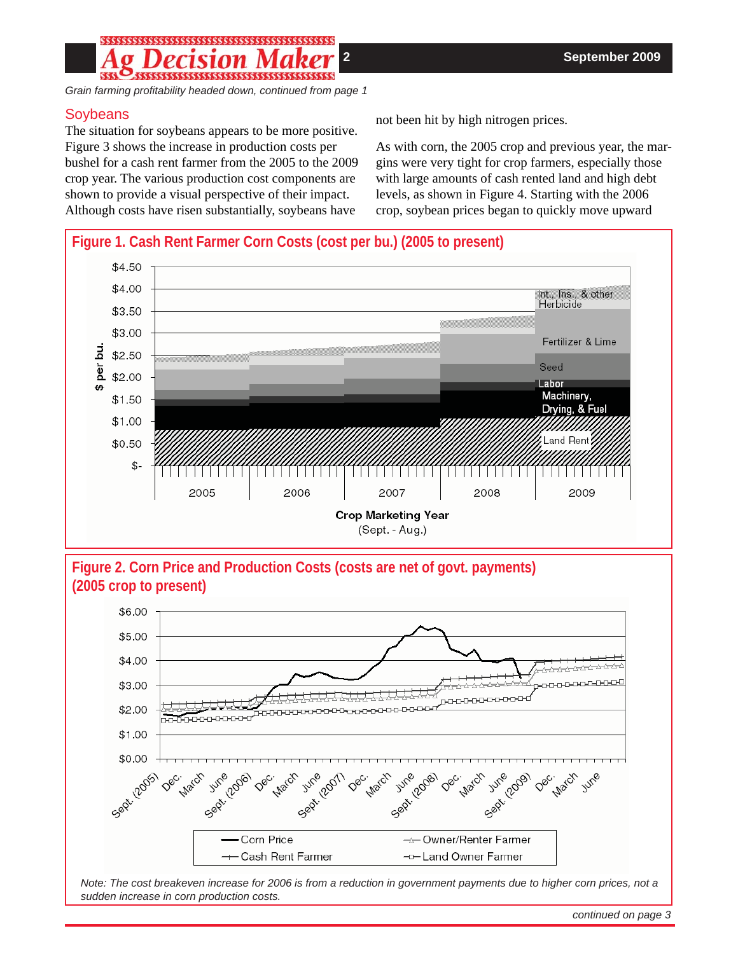### 

*Grain farming profi tability headed down, continued from page 1*

#### **Soybeans**

The situation for soybeans appears to be more positive. Figure 3 shows the increase in production costs per bushel for a cash rent farmer from the 2005 to the 2009 crop year. The various production cost components are shown to provide a visual perspective of their impact. Although costs have risen substantially, soybeans have

not been hit by high nitrogen prices.

As with corn, the 2005 crop and previous year, the margins were very tight for crop farmers, especially those with large amounts of cash rented land and high debt levels, as shown in Figure 4. Starting with the 2006 crop, soybean prices began to quickly move upward



**Figure 2. Corn Price and Production Costs (costs are net of govt. payments) (2005 crop to present)**



*Note: The cost breakeven increase for 2006 is from a reduction in government payments due to higher corn prices, not a sudden increase in corn production costs.*